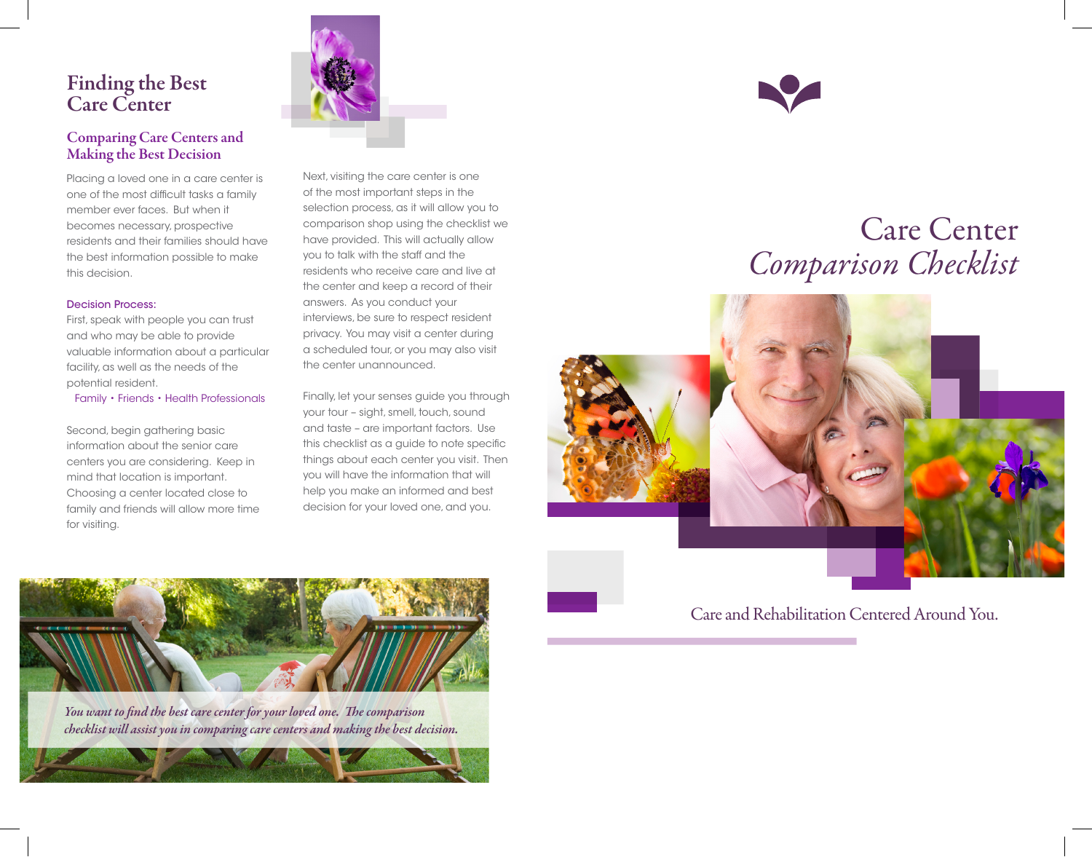# Finding the Best Care Center

### Comparing Care Centers and Making the Best Decision

Placing a loved one in a care center is one of the most difficult tasks a family member ever faces. But when it becomes necessary, prospective residents and their families should have the best information possible to make this decision.

#### Decision Process:

First, speak with people you can trust and who may be able to provide valuable information about a particular facility, as well as the needs of the potential resident.

Family • Friends • Health Professionals

Second, begin gathering basic information about the senior care centers you are considering. Keep in mind that location is important. Choosing a center located close to family and friends will allow more time for visiting.

Next, visiting the care center is one of the most important steps in the selection process, as it will allow you to comparison shop using the checklist we have provided. This will actually allow you to talk with the staff and the residents who receive care and live at the center and keep a record of their answers. As you conduct your interviews, be sure to respect resident privacy. You may visit a center during a scheduled tour, or you may also visit the center unannounced.

Finally, let your senses guide you through your tour – sight, smell, touch, sound and taste – are important factors. Use this checklist as a guide to note specific things about each center you visit. Then you will have the information that will help you make an informed and best decision for your loved one, and you.



# Care Center *Comparison Checklist*



## Care and Rehabilitation Centered Around You.



*You want to find the best care center for your loved one. The comparison checklist will assist you in comparing care centers and making the best decision.*